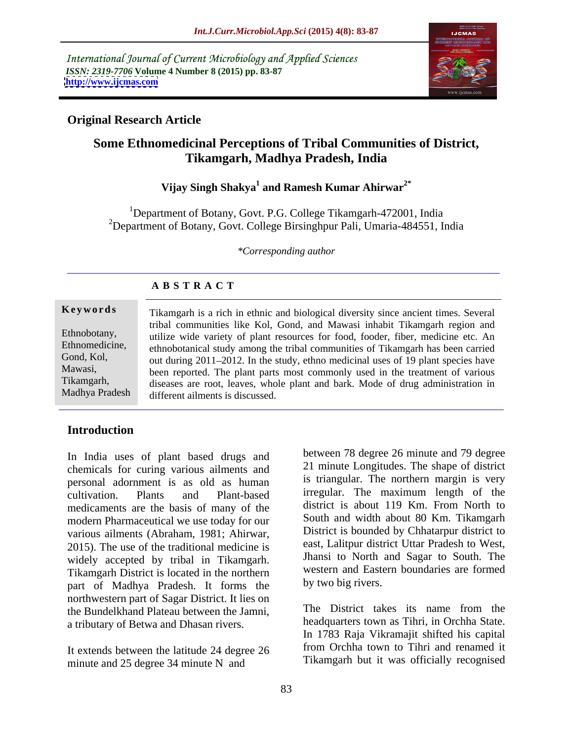International Journal of Current Microbiology and Applied Sciences *ISSN: 2319-7706* **Volume 4 Number 8 (2015) pp. 83-87 <http://www.ijcmas.com>**



# **Original Research Article**

# **Some Ethnomedicinal Perceptions of Tribal Communities of District, Tikamgarh, Madhya Pradesh, India**

# **Vijay Singh Shakya<sup>1</sup> and Ramesh Kumar Ahirwar2\***

<sup>1</sup>Department of Botany, Govt. P.G. College Tikamgarh-472001, India <sup>2</sup>Department of Botany, Govt. College Birsinghpur Pali, Umaria-484551, India

*\*Corresponding author*

# **A B S T R A C T**

Madhya Pradesh

**Keywords** Tikamgarh is a rich in ethnic and biological diversity since ancient times. Several tribal communities like Kol, Gond, and Mawasi inhabit Tikamgarh region and Ethnobotany, utilize wide variety of plant resources for food, fooder, fiber, medicine etc. An Ethnomedicine, ethnobotanical study among the tribal communities of Tikamgarh has been carried Gond, Kol, out during 2011–2012. In the study, ethno medicinal uses of 19 plant species have Mawasi, been reported. The plant parts most commonly used in the treatment of various Tikamgarh, diseases are root, leaves, whole plant and bark. Mode of drug administration in different ailments is discussed.

# **Introduction**

In India uses of plant based drugs and chemicals for curing various ailments and personal adornment is as old as human cultivation. Plants and Plant-based irregular. The maximum length of the medicaments are the basis of many of the modern Pharmaceutical we use today for our various ailments (Abraham, 1981; Ahirwar, District is bounded by Chhatarpur district to<br>2015). The use of the traditional medicine is east, Lalitpur district Uttar Pradesh to West, widely accepted by tribal in Tikamgarh. Tikamgarh District is located in the northern part of Madhya Pradesh. It forms the northwestern part of Sagar District. It lies on the Bundelkhand Plateau between the Jamni, a tributary of Betwa and Dhasan rivers.

It extends between the latitude 24 degree 26 minute and 25 degree 34 minute N and

between 78 degree 26 minute and 79 degree 21 minute Longitudes. The shape of district is triangular. The northern margin is very irregular. The maximum length of the district is about 119 Km. From North to South and width about 80 Km. Tikamgarh District is bounded by Chhatarpur district to east, Lalitpur district Uttar Pradesh to West, Jhansi to North and Sagar to South. The western and Eastern boundaries are formed by two big rivers.

The District takes its name from the headquarters town as Tihri, in Orchha State. In 1783 Raja Vikramajit shifted his capital from Orchha town to Tihri and renamed it Tikamgarh but it was officially recognised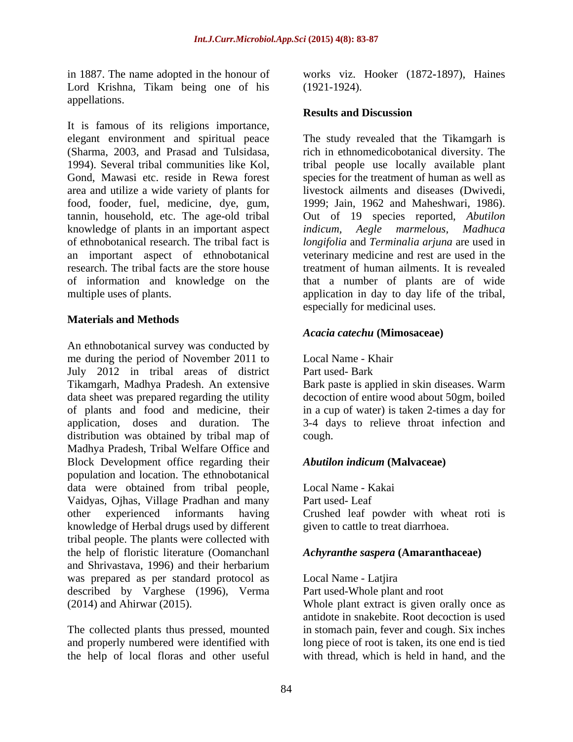in 1887. The name adopted in the honour of works viz. Hooker (1872**-**1897), Haines Lord Krishna, Tikam being one of his (1921-1924). appellations.

It is famous of its religions importance, elegant environment and spiritual peace elegant environment and spiritual peace The study revealed that the Tikamgarh is (Sharma, 2003, and Prasad and Tulsidasa, rich in ethnomedicobotanical diversity. The 1994). Several tribal communities like Kol, tribal people use locally available plant Gond, Mawasi etc. reside in Rewa forest species for the treatment of human as well as area and utilize a wide variety of plants for food, fooder, fuel, medicine, dye, gum, tannin, household, etc. The age-old tribal knowledge of plants in an important aspect *indicum, Aegle marmelous, Madhuca* of ethnobotanical research. The tribal fact is *longifolia* and *Terminalia arjuna* are used in an important aspect of ethnobotanical veterinary medicine and rest are used in the research. The tribal facts are the store house treatment of human ailments. It is revealed of information and knowledge on the

# **Materials and Methods**

An ethnobotanical survey was conducted by me during the period of November 2011 to July 2012 in tribal areas of district Part used-Bark Tikamgarh, Madhya Pradesh. An extensive Bark paste is applied in skin diseases. Warm data sheet was prepared regarding the utility decoction of entire wood about 50gm, boiled of plants and food and medicine, their in a cup of water) is taken 2-times a day for application, doses and duration. The 3-4 days to relieve throat infection and distribution was obtained by tribal map of cough. Madhya Pradesh, Tribal Welfare Office and Block Development office regarding their **Abutilon indicum (Malvaceae)** population and location. The ethnobotanical data were obtained from tribal people, Vaidyas, Ojhas, Village Pradhan and many other experienced informants having Crushed leaf powder with wheat roti is knowledge of Herbal drugs used by different tribal people. The plants were collected with the help of floristic literature (Oomanchanl and Shrivastava, 1996) and their herbarium was prepared as per standard protocol as Local Name - Latjira described by Varghese  $(1996)$ , Verma  $(2014)$  and Ahirwar  $(2015)$ .

and properly numbered were identified with the help of local floras and other useful (1921-1924).

## **Results and Discussion**

multiple uses of plants. The application in day to day life of the tribal, livestock ailments and diseases (Dwivedi, 1999; Jain, 1962 and Maheshwari, 1986). Out of 19 species reported, *Abutilon*  that a number of plants are of wide especially for medicinal uses.

## *Acacia catechu* **(Mimosaceae)**

Local Name - Khair

Part used-Bark

cough. The couple of the couple of the couple of the couple of the couple of the couple of the couple of the couple of the couple of the couple of the couple of the couple of the couple of the couple of the couple of the c

## *Abutilon indicum* **(Malvaceae)**

Local Name - Kakai Part used-Leaf given to cattle to treat diarrhoea.

## *Achyranthe saspera* **(Amaranthaceae)**

Local Name - Latjira

Part used-Whole plant and root

(2014) and Ahirwar (2015). Whole plant extract is given orally once as The collected plants thus pressed, mounted in stomach pain, fever and cough. Six inches antidote in snakebite. Root decoction is used long piece of root is taken, its one end is tied with thread, which is held in hand, and the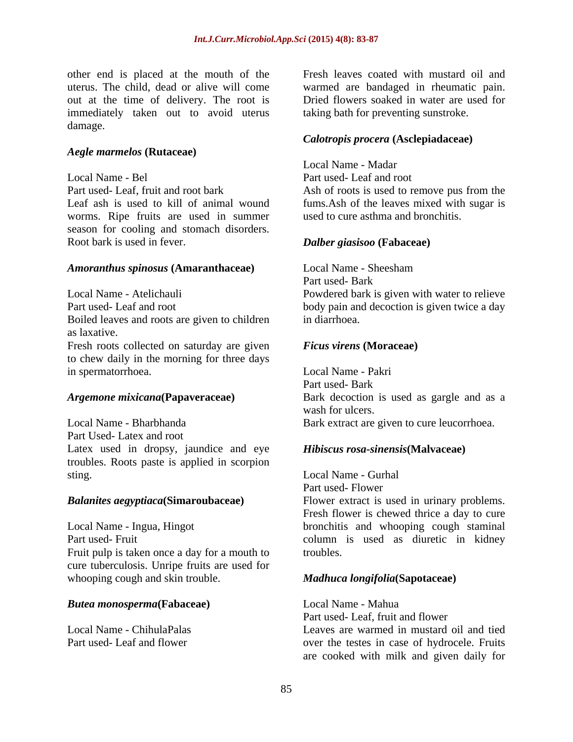other end is placed at the mouth of the uterus. The child, dead or alive will come warmed are bandaged in rheumatic pain. out at the time of delivery. The root is immediately taken out to avoid uterus damage. The contract of the contract of the contract of the contract of the contract of the contract of the contract of the contract of the contract of the contract of the contract of the contract of the contract of the co

### *Aegle marmelos* **(Rutaceae)**

Local Name - Bel Part used- Leaf and root Part used- Leaf, fruit and root bark Ash of roots is used to remove pus from the Leaf ash is used to kill of animal wound fums.Ash of the leaves mixed with sugar is worms. Ripe fruits are used in summer season for cooling and stomach disorders. Root bark is used in fever. *Dalber giasisoo* **(Fabaceae)**

### *Amoranthus spinosus* **(Amaranthaceae)**

Local Name - Atelichauli Powdered bark is given with water to relieve Part used- Leaf and root body pain and decoction is given twice a day Boiled leaves and roots are given to children as laxative. Fresh roots collected on saturday are given

to chew daily in the morning for three days in spermatorrhoea.

Local Name - Bharbhanda Bark extract are given to cure leucorrhoea. Part Used- Latex and root Latex used in dropsy, jaundice and eye troubles. Roots paste is applied in scorpion sting. Local Name - Gurhal

Local Name - Ingua, Hingot bronchitis and whooping cough staminal Part used- Fruit column is used as diuretic in kidney Fruit pulp is taken once a day for a mouth to troubles. cure tuberculosis. Unripe fruits are used for whooping cough and skin trouble. *Madhuca longifolia***(Sapotaceae)**

### *Butea monosperma***(Fabaceae)**

Fresh leaves coated with mustard oil and Dried flowers soaked in water are used for taking bath for preventing sunstroke.

### *Calotropis procera* **(Asclepiadaceae)**

Local Name - Madar

used to cure asthma and bronchitis.

Local Name - Sheesham Part used-Bark in diarrhoea.

### *Ficus virens* **(Moraceae)**

*Argemone mixicana***(Papaveraceae)** Bark decoction is used as gargle and as a Local Name - Pakri Part used-Bark wash for ulcers.

## *Hibiscus rosa-sinensis***(Malvaceae)**

*Balanites aegyptiaca***(Simaroubaceae)** Flower extract is used in urinary problems. Part used-Flower Fresh flower is chewed thrice a day to cure troubles.

Local Name - ChihulaPalas Leaves are warmed in mustard oil and tied Part used- Leaf and flower over the testes in case of hydrocele. Fruits Local Name - Mahua Part used- Leaf, fruit and flower are cooked with milk and given daily for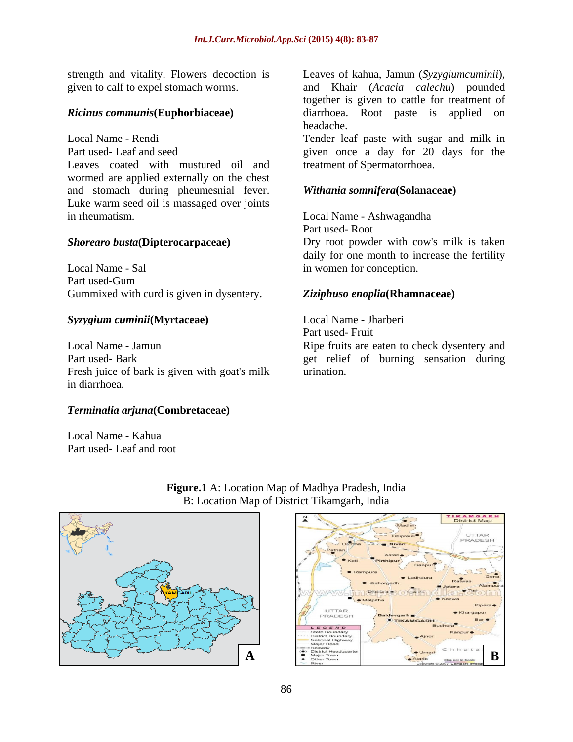strength and vitality. Flowers decoction is Leaves of kahua, Jamun (*Syzygiumcuminii*),

Leaves coated with mustured oil and wormed are applied externally on the chest and stomach during pheumesnial fever. Luke warm seed oil is massaged over joints in rheumatism. Local Name - Ashwagandha

## *Shorearo busta***(Dipterocarpaceae)** Dry root powder with cow's milk is taken

Gummixed with curd is given in dysentery.

Fresh juice of bark is given with goat's milk urination. in diarrhoea.

## *Terminalia arjuna***(Combretaceae)**

Local Name - Kahua Part used- Leaf and root



Local Name - Sal in women for conception. Part used-Gum *Syzygium cuminii***(Myrtaceae)** daily for one month to increase the fertility *Ziziphuso enoplia***(Rhamnaceae)** Local Name - Jharberi Part used-Fruit

Part used- Root

Local Name - Jamun Ripe fruits are eaten to check dysentery and Part used- Bark get relief of burning sensation during urination.



# **Figure.1** A: Location Map of Madhya Pradesh, India B: Location Map of District Tikamgarh, India

given to calf to expel stomach worms. and Khair (*Acacia calechu*) pounded *Ricinus communis***(Euphorbiaceae)** diarrhoea. Root paste is applied on together is given to cattle for treatment of headache.

Local Name - Rendi Tender leaf paste with sugar and milk in Part used-Leaf and seed served in the same spin once a day for 20 days for the part usedtreatment of Spermatorrhoea.

### *Withania somnifera***(Solanaceae)**